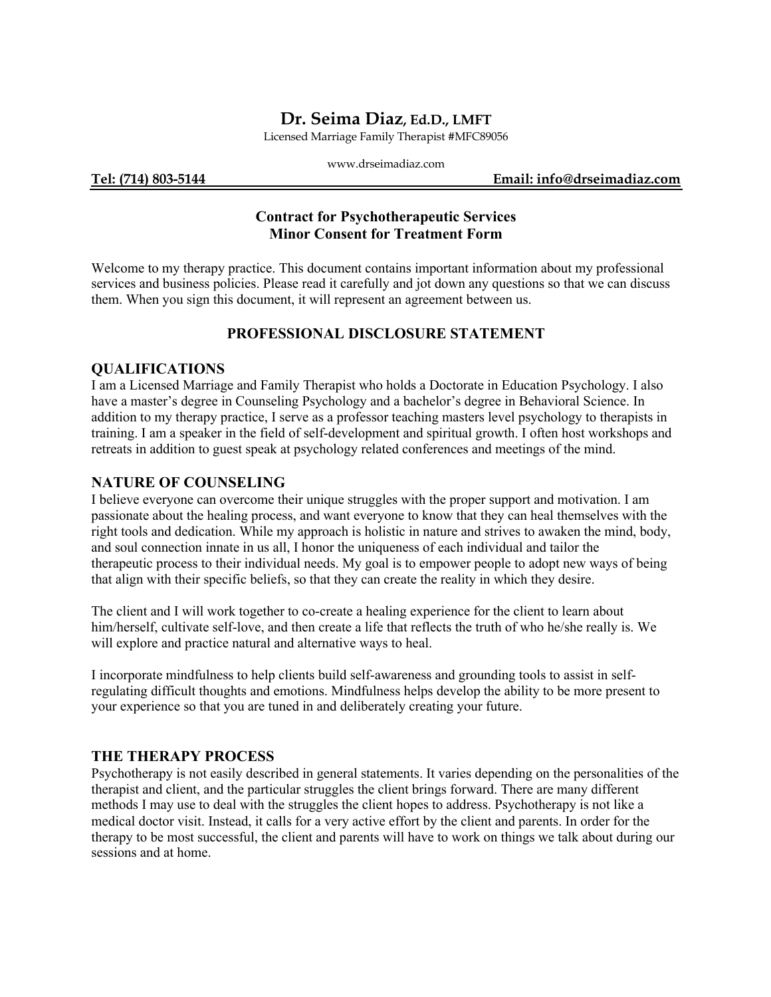# **Dr. Seima Diaz, Ed.D., LMFT**

Licensed Marriage Family Therapist #MFC89056

www.drseimadiaz.com

**Tel: (714) 803-5144 Email: info@drseimadiaz.com**

## **Contract for Psychotherapeutic Services Minor Consent for Treatment Form**

Welcome to my therapy practice. This document contains important information about my professional services and business policies. Please read it carefully and jot down any questions so that we can discuss them. When you sign this document, it will represent an agreement between us.

## **PROFESSIONAL DISCLOSURE STATEMENT**

#### **QUALIFICATIONS**

I am a Licensed Marriage and Family Therapist who holds a Doctorate in Education Psychology. I also have a master's degree in Counseling Psychology and a bachelor's degree in Behavioral Science. In addition to my therapy practice, I serve as a professor teaching masters level psychology to therapists in training. I am a speaker in the field of self-development and spiritual growth. I often host workshops and retreats in addition to guest speak at psychology related conferences and meetings of the mind.

### **NATURE OF COUNSELING**

I believe everyone can overcome their unique struggles with the proper support and motivation. I am passionate about the healing process, and want everyone to know that they can heal themselves with the right tools and dedication. While my approach is holistic in nature and strives to awaken the mind, body, and soul connection innate in us all, I honor the uniqueness of each individual and tailor the therapeutic process to their individual needs. My goal is to empower people to adopt new ways of being that align with their specific beliefs, so that they can create the reality in which they desire.

The client and I will work together to co-create a healing experience for the client to learn about him/herself, cultivate self-love, and then create a life that reflects the truth of who he/she really is. We will explore and practice natural and alternative ways to heal.

I incorporate mindfulness to help clients build self-awareness and grounding tools to assist in selfregulating difficult thoughts and emotions. Mindfulness helps develop the ability to be more present to your experience so that you are tuned in and deliberately creating your future.

## **THE THERAPY PROCESS**

Psychotherapy is not easily described in general statements. It varies depending on the personalities of the therapist and client, and the particular struggles the client brings forward. There are many different methods I may use to deal with the struggles the client hopes to address. Psychotherapy is not like a medical doctor visit. Instead, it calls for a very active effort by the client and parents. In order for the therapy to be most successful, the client and parents will have to work on things we talk about during our sessions and at home.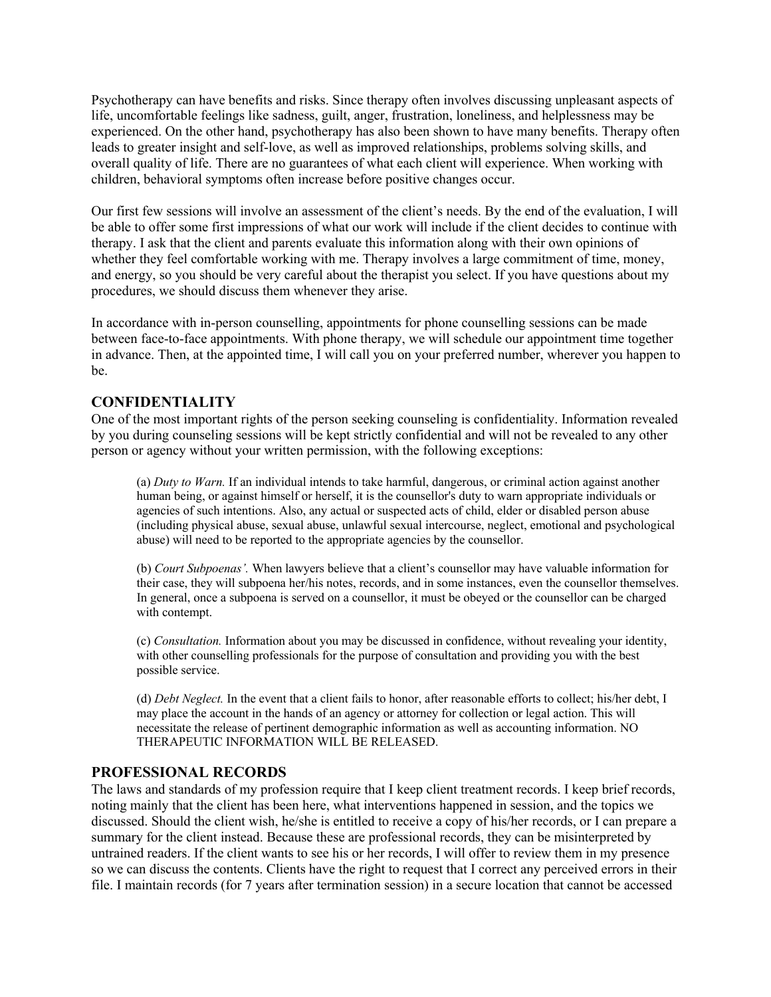Psychotherapy can have benefits and risks. Since therapy often involves discussing unpleasant aspects of life, uncomfortable feelings like sadness, guilt, anger, frustration, loneliness, and helplessness may be experienced. On the other hand, psychotherapy has also been shown to have many benefits. Therapy often leads to greater insight and self-love, as well as improved relationships, problems solving skills, and overall quality of life. There are no guarantees of what each client will experience. When working with children, behavioral symptoms often increase before positive changes occur.

Our first few sessions will involve an assessment of the client's needs. By the end of the evaluation, I will be able to offer some first impressions of what our work will include if the client decides to continue with therapy. I ask that the client and parents evaluate this information along with their own opinions of whether they feel comfortable working with me. Therapy involves a large commitment of time, money, and energy, so you should be very careful about the therapist you select. If you have questions about my procedures, we should discuss them whenever they arise.

In accordance with in-person counselling, appointments for phone counselling sessions can be made between face-to-face appointments. With phone therapy, we will schedule our appointment time together in advance. Then, at the appointed time, I will call you on your preferred number, wherever you happen to be.

#### **CONFIDENTIALITY**

One of the most important rights of the person seeking counseling is confidentiality. Information revealed by you during counseling sessions will be kept strictly confidential and will not be revealed to any other person or agency without your written permission, with the following exceptions:

(a) *Duty to Warn.* If an individual intends to take harmful, dangerous, or criminal action against another human being, or against himself or herself, it is the counsellor's duty to warn appropriate individuals or agencies of such intentions. Also, any actual or suspected acts of child, elder or disabled person abuse (including physical abuse, sexual abuse, unlawful sexual intercourse, neglect, emotional and psychological abuse) will need to be reported to the appropriate agencies by the counsellor.

(b) *Court Subpoenas'.* When lawyers believe that a client's counsellor may have valuable information for their case, they will subpoena her/his notes, records, and in some instances, even the counsellor themselves. In general, once a subpoena is served on a counsellor, it must be obeyed or the counsellor can be charged with contempt.

(c) *Consultation.* Information about you may be discussed in confidence, without revealing your identity, with other counselling professionals for the purpose of consultation and providing you with the best possible service.

(d) *Debt Neglect.* In the event that a client fails to honor, after reasonable efforts to collect; his/her debt, I may place the account in the hands of an agency or attorney for collection or legal action. This will necessitate the release of pertinent demographic information as well as accounting information. NO THERAPEUTIC INFORMATION WILL BE RELEASED.

## **PROFESSIONAL RECORDS**

The laws and standards of my profession require that I keep client treatment records. I keep brief records, noting mainly that the client has been here, what interventions happened in session, and the topics we discussed. Should the client wish, he/she is entitled to receive a copy of his/her records, or I can prepare a summary for the client instead. Because these are professional records, they can be misinterpreted by untrained readers. If the client wants to see his or her records, I will offer to review them in my presence so we can discuss the contents. Clients have the right to request that I correct any perceived errors in their file. I maintain records (for 7 years after termination session) in a secure location that cannot be accessed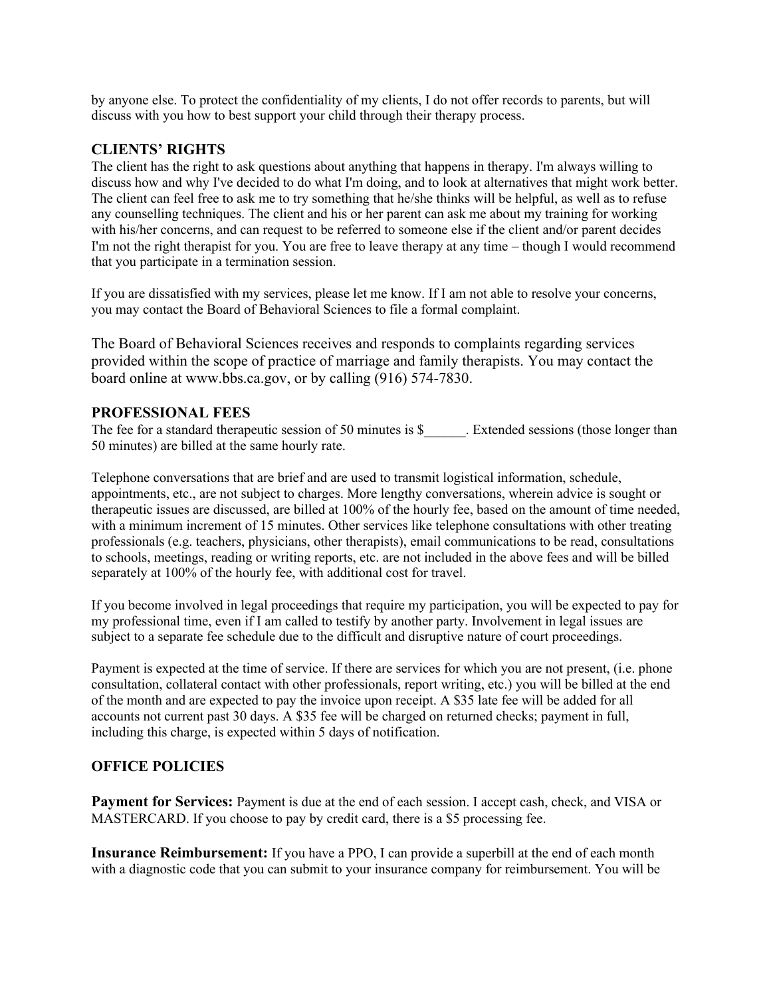by anyone else. To protect the confidentiality of my clients, I do not offer records to parents, but will discuss with you how to best support your child through their therapy process.

#### **CLIENTS' RIGHTS**

The client has the right to ask questions about anything that happens in therapy. I'm always willing to discuss how and why I've decided to do what I'm doing, and to look at alternatives that might work better. The client can feel free to ask me to try something that he/she thinks will be helpful, as well as to refuse any counselling techniques. The client and his or her parent can ask me about my training for working with his/her concerns, and can request to be referred to someone else if the client and/or parent decides I'm not the right therapist for you. You are free to leave therapy at any time – though I would recommend that you participate in a termination session.

If you are dissatisfied with my services, please let me know. If I am not able to resolve your concerns, you may contact the Board of Behavioral Sciences to file a formal complaint.

The Board of Behavioral Sciences receives and responds to complaints regarding services provided within the scope of practice of marriage and family therapists. You may contact the board online at www.bbs.ca.gov, or by calling (916) 574-7830.

#### **PROFESSIONAL FEES**

The fee for a standard therapeutic session of 50 minutes is \$ The Extended sessions (those longer than 50 minutes) are billed at the same hourly rate.

Telephone conversations that are brief and are used to transmit logistical information, schedule, appointments, etc., are not subject to charges. More lengthy conversations, wherein advice is sought or therapeutic issues are discussed, are billed at 100% of the hourly fee, based on the amount of time needed, with a minimum increment of 15 minutes. Other services like telephone consultations with other treating professionals (e.g. teachers, physicians, other therapists), email communications to be read, consultations to schools, meetings, reading or writing reports, etc. are not included in the above fees and will be billed separately at 100% of the hourly fee, with additional cost for travel.

If you become involved in legal proceedings that require my participation, you will be expected to pay for my professional time, even if I am called to testify by another party. Involvement in legal issues are subject to a separate fee schedule due to the difficult and disruptive nature of court proceedings.

Payment is expected at the time of service. If there are services for which you are not present, (i.e. phone consultation, collateral contact with other professionals, report writing, etc.) you will be billed at the end of the month and are expected to pay the invoice upon receipt. A \$35 late fee will be added for all accounts not current past 30 days. A \$35 fee will be charged on returned checks; payment in full, including this charge, is expected within 5 days of notification.

#### **OFFICE POLICIES**

**Payment for Services:** Payment is due at the end of each session. I accept cash, check, and VISA or MASTERCARD. If you choose to pay by credit card, there is a \$5 processing fee.

**Insurance Reimbursement:** If you have a PPO, I can provide a superbill at the end of each month with a diagnostic code that you can submit to your insurance company for reimbursement. You will be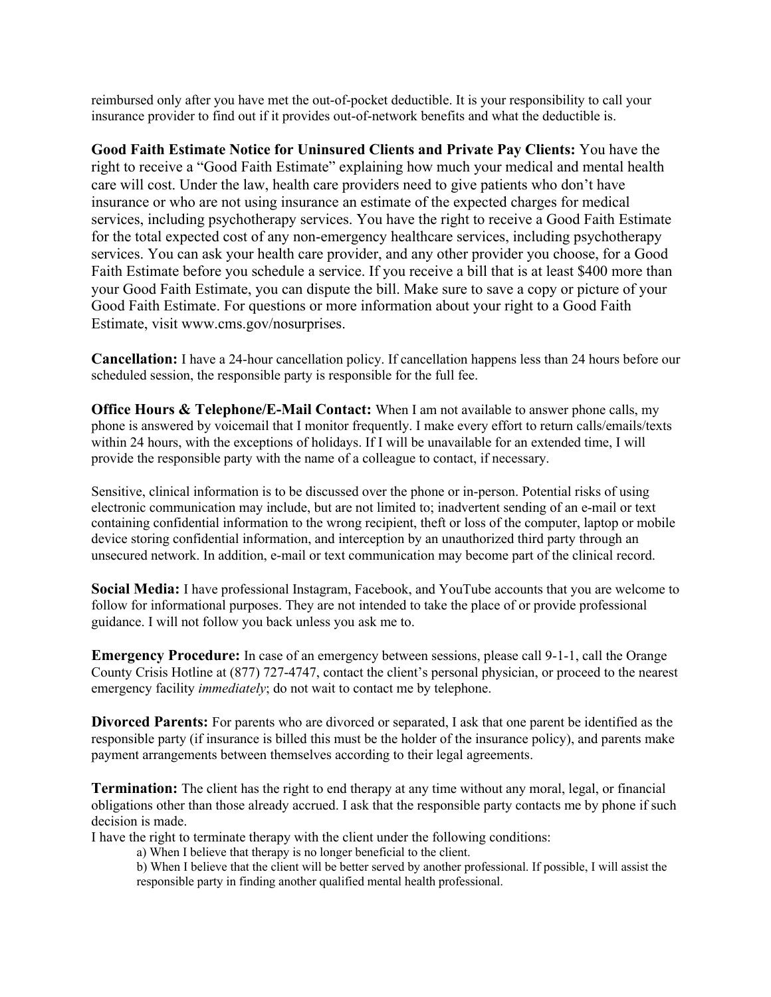reimbursed only after you have met the out-of-pocket deductible. It is your responsibility to call your insurance provider to find out if it provides out-of-network benefits and what the deductible is.

**Good Faith Estimate Notice for Uninsured Clients and Private Pay Clients:** You have the right to receive a "Good Faith Estimate" explaining how much your medical and mental health care will cost. Under the law, health care providers need to give patients who don't have insurance or who are not using insurance an estimate of the expected charges for medical services, including psychotherapy services. You have the right to receive a Good Faith Estimate for the total expected cost of any non-emergency healthcare services, including psychotherapy services. You can ask your health care provider, and any other provider you choose, for a Good Faith Estimate before you schedule a service. If you receive a bill that is at least \$400 more than your Good Faith Estimate, you can dispute the bill. Make sure to save a copy or picture of your Good Faith Estimate. For questions or more information about your right to a Good Faith Estimate, visit www.cms.gov/nosurprises.

**Cancellation:** I have a 24-hour cancellation policy. If cancellation happens less than 24 hours before our scheduled session, the responsible party is responsible for the full fee.

**Office Hours & Telephone/E-Mail Contact:** When I am not available to answer phone calls, my phone is answered by voicemail that I monitor frequently. I make every effort to return calls/emails/texts within 24 hours, with the exceptions of holidays. If I will be unavailable for an extended time, I will provide the responsible party with the name of a colleague to contact, if necessary.

Sensitive, clinical information is to be discussed over the phone or in-person. Potential risks of using electronic communication may include, but are not limited to; inadvertent sending of an e-mail or text containing confidential information to the wrong recipient, theft or loss of the computer, laptop or mobile device storing confidential information, and interception by an unauthorized third party through an unsecured network. In addition, e-mail or text communication may become part of the clinical record.

**Social Media:** I have professional Instagram, Facebook, and YouTube accounts that you are welcome to follow for informational purposes. They are not intended to take the place of or provide professional guidance. I will not follow you back unless you ask me to.

**Emergency Procedure:** In case of an emergency between sessions, please call 9-1-1, call the Orange County Crisis Hotline at (877) 727-4747, contact the client's personal physician, or proceed to the nearest emergency facility *immediately*; do not wait to contact me by telephone.

**Divorced Parents:** For parents who are divorced or separated, I ask that one parent be identified as the responsible party (if insurance is billed this must be the holder of the insurance policy), and parents make payment arrangements between themselves according to their legal agreements.

**Termination:** The client has the right to end therapy at any time without any moral, legal, or financial obligations other than those already accrued. I ask that the responsible party contacts me by phone if such decision is made.

I have the right to terminate therapy with the client under the following conditions:

- a) When I believe that therapy is no longer beneficial to the client.
- b) When I believe that the client will be better served by another professional. If possible, I will assist the responsible party in finding another qualified mental health professional.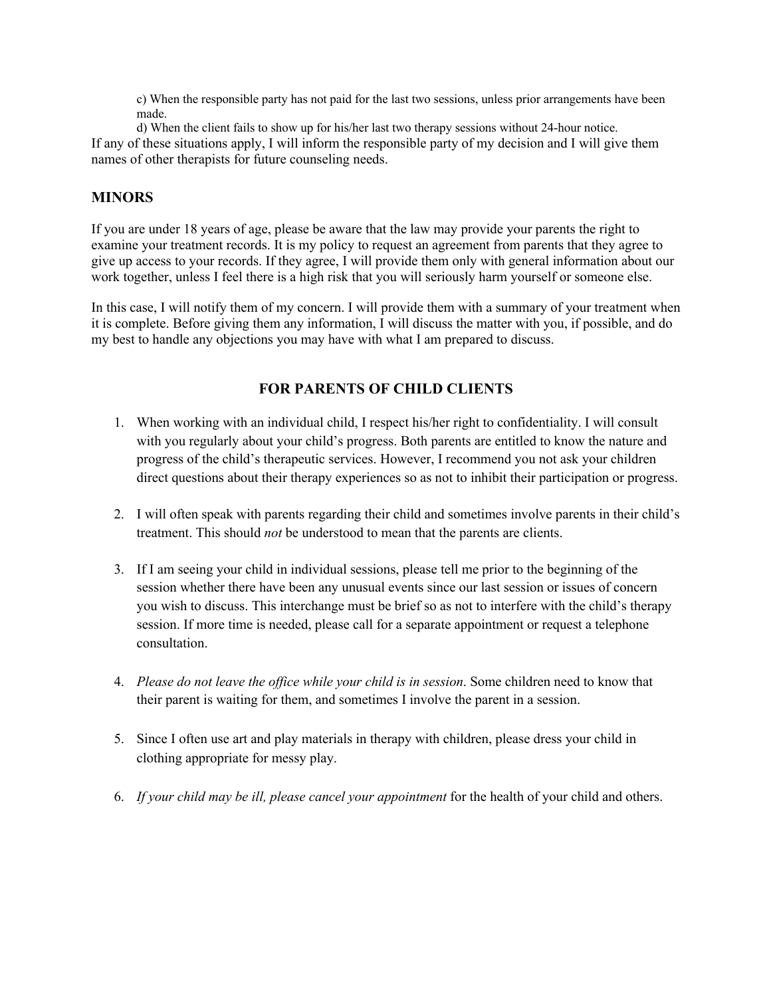c) When the responsible party has not paid for the last two sessions, unless prior arrangements have been made.

d) When the client fails to show up for his/her last two therapy sessions without 24-hour notice. If any of these situations apply, I will inform the responsible party of my decision and I will give them names of other therapists for future counseling needs.

## **MINORS**

If you are under 18 years of age, please be aware that the law may provide your parents the right to examine your treatment records. It is my policy to request an agreement from parents that they agree to give up access to your records. If they agree, I will provide them only with general information about our work together, unless I feel there is a high risk that you will seriously harm yourself or someone else.

In this case, I will notify them of my concern. I will provide them with a summary of your treatment when it is complete. Before giving them any information, I will discuss the matter with you, if possible, and do my best to handle any objections you may have with what I am prepared to discuss.

# **FOR PARENTS OF CHILD CLIENTS**

- 1. When working with an individual child, I respect his/her right to confidentiality. I will consult with you regularly about your child's progress. Both parents are entitled to know the nature and progress of the child's therapeutic services. However, I recommend you not ask your children direct questions about their therapy experiences so as not to inhibit their participation or progress.
- 2. I will often speak with parents regarding their child and sometimes involve parents in their child's treatment. This should *not* be understood to mean that the parents are clients.
- 3. If I am seeing your child in individual sessions, please tell me prior to the beginning of the session whether there have been any unusual events since our last session or issues of concern you wish to discuss. This interchange must be brief so as not to interfere with the child's therapy session. If more time is needed, please call for a separate appointment or request a telephone consultation.
- 4. *Please do not leave the office while your child is in session*. Some children need to know that their parent is waiting for them, and sometimes I involve the parent in a session.
- 5. Since I often use art and play materials in therapy with children, please dress your child in clothing appropriate for messy play.
- 6. *If your child may be ill, please cancel your appointment* for the health of your child and others.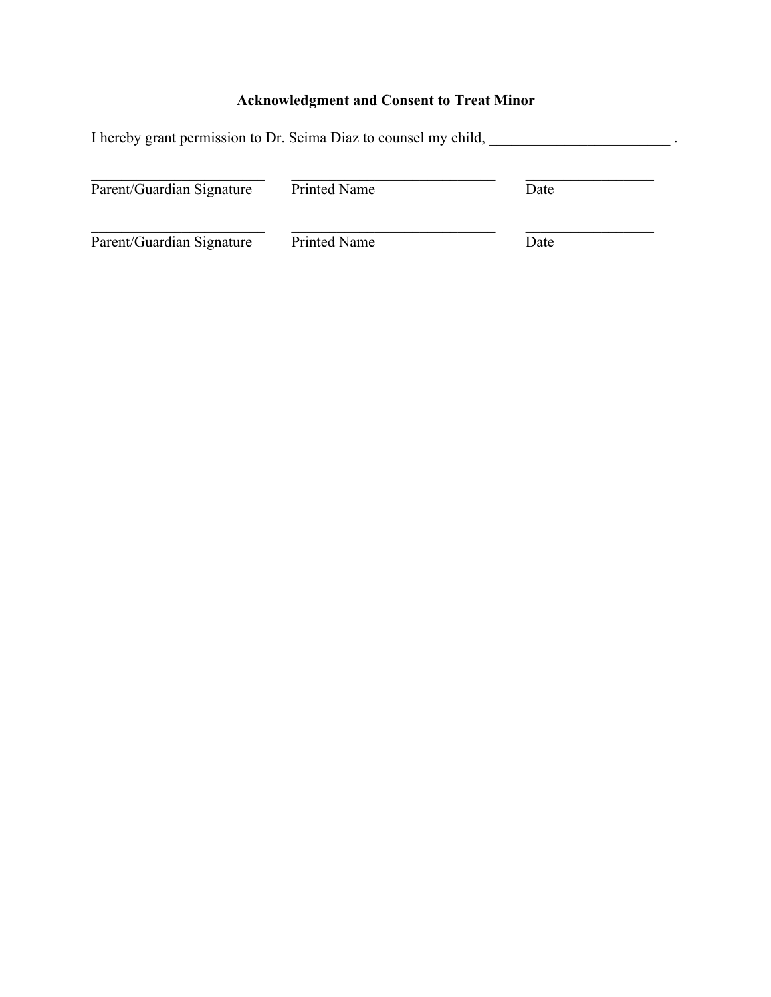# **Acknowledgment and Consent to Treat Minor**

| I hereby grant permission to Dr. Seima Diaz to counsel my child, |                     |      |
|------------------------------------------------------------------|---------------------|------|
| Parent/Guardian Signature                                        | <b>Printed Name</b> | Date |
| Parent/Guardian Signature                                        | Printed Name        | Date |